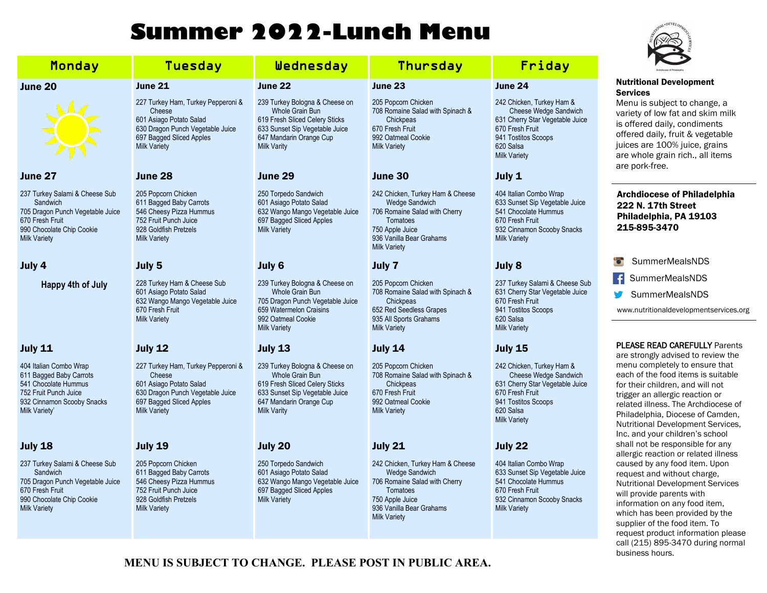## **Summer 2022-Lunch Menu**

| Monday                                                                                                                                                | Tuesday                                                                                                                                                                                     | Wednesday                                                                                                                                                                                           | Thursday                                                                                                                                                                     | Friday                                                                                                                                                                                   |                                                                                                                                                                                                                                                                                                                                      |
|-------------------------------------------------------------------------------------------------------------------------------------------------------|---------------------------------------------------------------------------------------------------------------------------------------------------------------------------------------------|-----------------------------------------------------------------------------------------------------------------------------------------------------------------------------------------------------|------------------------------------------------------------------------------------------------------------------------------------------------------------------------------|------------------------------------------------------------------------------------------------------------------------------------------------------------------------------------------|--------------------------------------------------------------------------------------------------------------------------------------------------------------------------------------------------------------------------------------------------------------------------------------------------------------------------------------|
| <b>June 20</b><br>June 27                                                                                                                             | <b>June 21</b><br>227 Turkey Ham, Turkey Pepperoni &<br>Cheese<br>601 Asiago Potato Salad<br>630 Dragon Punch Vegetable Juice<br>697 Bagged Sliced Apples<br><b>Milk Variety</b><br>June 28 | <b>June 22</b><br>239 Turkey Bologna & Cheese on<br>Whole Grain Bun<br>619 Fresh Sliced Celery Sticks<br>633 Sunset Sip Vegetable Juice<br>647 Mandarin Orange Cup<br><b>Milk Varity</b><br>June 29 | <b>June 23</b><br>205 Popcorn Chicken<br>708 Romaine Salad with Spinach &<br>Chickpeas<br>670 Fresh Fruit<br>992 Oatmeal Cookie<br><b>Milk Variety</b><br>June 30            | June 24<br>242 Chicken, Turkey Ham &<br>Cheese Wedge Sandwich<br>631 Cherry Star Vegetable Juice<br>670 Fresh Fruit<br>941 Tostitos Scoops<br>620 Salsa<br><b>Milk Variety</b><br>July 1 | <b>Nutritional Development</b><br><b>Services</b><br>Menu is subject to change, a<br>variety of low fat and skim milk<br>is offered daily, condiments<br>offered daily, fruit & vegetable<br>juices are 100% juice, grains<br>are whole grain rich., all items<br>are pork-free.                                                     |
| 237 Turkey Salami & Cheese Sub<br>Sandwich<br>705 Dragon Punch Vegetable Juice<br>670 Fresh Fruit<br>990 Chocolate Chip Cookie<br><b>Milk Variety</b> | 205 Popcorn Chicken<br>611 Bagged Baby Carrots<br>546 Cheesy Pizza Hummus<br>752 Fruit Punch Juice<br>928 Goldfish Pretzels<br><b>Milk Variety</b>                                          | 250 Torpedo Sandwich<br>601 Asiago Potato Salad<br>632 Wango Mango Vegetable Juice<br>697 Bagged Sliced Apples<br><b>Milk Variety</b>                                                               | 242 Chicken, Turkey Ham & Cheese<br><b>Wedge Sandwich</b><br>706 Romaine Salad with Cherry<br>Tomatoes<br>750 Apple Juice<br>936 Vanilla Bear Grahams<br><b>Milk Variety</b> | 404 Italian Combo Wrap<br>633 Sunset Sip Vegetable Juice<br>541 Chocolate Hummus<br>670 Fresh Fruit<br>932 Cinnamon Scooby Snacks<br><b>Milk Variety</b>                                 | <b>Archdiocese of Philadelphia</b><br><b>222 N. 17th Street</b><br>Philadelphia, PA 19103<br>215-895-3470                                                                                                                                                                                                                            |
| July 4                                                                                                                                                | July 5                                                                                                                                                                                      | July 6                                                                                                                                                                                              | July 7                                                                                                                                                                       | <b>July 8</b>                                                                                                                                                                            | SummerMealsNDS                                                                                                                                                                                                                                                                                                                       |
| Happy 4th of July                                                                                                                                     | 228 Turkey Ham & Cheese Sub<br>601 Asiago Potato Salad<br>632 Wango Mango Vegetable Juice<br>670 Fresh Fruit<br><b>Milk Variety</b>                                                         | 239 Turkey Bologna & Cheese on<br>Whole Grain Bun<br>705 Dragon Punch Vegetable Juice<br>659 Watermelon Craisins<br>992 Oatmeal Cookie<br><b>Milk Variety</b>                                       | 205 Popcorn Chicken<br>708 Romaine Salad with Spinach &<br>Chickpeas<br>652 Red Seedless Grapes<br>935 All Sports Grahams<br><b>Milk Variety</b>                             | 237 Turkey Salami & Cheese Sub<br>631 Cherry Star Vegetable Juice<br>670 Fresh Fruit<br>941 Tostitos Scoops<br>620 Salsa<br><b>Milk Variety</b>                                          | SummerMealsNDS<br><b>SummerMealsNDS</b><br>v<br>www.nutritionaldevelopmentservices.org                                                                                                                                                                                                                                               |
| <b>July 11</b>                                                                                                                                        | July 12                                                                                                                                                                                     | <b>July 13</b>                                                                                                                                                                                      | July 14                                                                                                                                                                      | <b>July 15</b>                                                                                                                                                                           | <b>PLEASE READ CAREFULLY Parents</b>                                                                                                                                                                                                                                                                                                 |
| 404 Italian Combo Wrap<br>611 Bagged Baby Carrots<br>541 Chocolate Hummus<br>752 Fruit Punch Juice<br>932 Cinnamon Scooby Snacks<br>Milk Variety'     | 227 Turkey Ham, Turkey Pepperoni &<br>Cheese<br>601 Asiago Potato Salad<br>630 Dragon Punch Vegetable Juice<br>697 Bagged Sliced Apples<br><b>Milk Variety</b>                              | 239 Turkey Bologna & Cheese on<br>Whole Grain Bun<br>619 Fresh Sliced Celery Sticks<br>633 Sunset Sip Vegetable Juice<br>647 Mandarin Orange Cup<br><b>Milk Varity</b>                              | 205 Popcorn Chicken<br>708 Romaine Salad with Spinach &<br>Chickpeas<br>670 Fresh Fruit<br>992 Oatmeal Cookie<br><b>Milk Variety</b>                                         | 242 Chicken, Turkey Ham &<br>Cheese Wedge Sandwich<br>631 Cherry Star Vegetable Juice<br>670 Fresh Fruit<br>941 Tostitos Scoops<br>620 Salsa<br><b>Milk Variety</b>                      | are strongly advised to review the<br>menu completely to ensure that<br>each of the food items is suitable<br>for their children, and will not<br>trigger an allergic reaction or<br>related illness. The Archdiocese of<br>Philadelphia, Diocese of Camden,<br>Nutritional Development Services,<br>Inc. and your children's school |
| July 18                                                                                                                                               | July 19                                                                                                                                                                                     | July 20                                                                                                                                                                                             | <b>July 21</b>                                                                                                                                                               | July 22                                                                                                                                                                                  | shall not be responsible for any<br>allergic reaction or related illness                                                                                                                                                                                                                                                             |
| 237 Turkey Salami & Cheese Sub<br>Sandwich<br>705 Dragon Punch Vegetable Juice<br>670 Fresh Fruit<br>990 Chocolate Chip Cookie<br><b>Milk Variety</b> | 205 Popcorn Chicken<br>611 Bagged Baby Carrots<br>546 Cheesy Pizza Hummus<br>752 Fruit Punch Juice<br>928 Goldfish Pretzels<br><b>Milk Variety</b>                                          | 250 Torpedo Sandwich<br>601 Asiago Potato Salad<br>632 Wango Mango Vegetable Juice<br>697 Bagged Sliced Apples<br><b>Milk Variety</b>                                                               | 242 Chicken, Turkey Ham & Cheese<br>Wedge Sandwich<br>706 Romaine Salad with Cherry<br>Tomatoes<br>750 Apple Juice<br>936 Vanilla Bear Grahams<br><b>Milk Variety</b>        | 404 Italian Combo Wrap<br>633 Sunset Sip Vegetable Juice<br>541 Chocolate Hummus<br>670 Fresh Fruit<br>932 Cinnamon Scooby Snacks<br><b>Milk Variety</b>                                 | caused by any food item. Upon<br>request and without charge.<br><b>Nutritional Development Services</b><br>will provide parents with<br>information on any food item,<br>which has been provided by the<br>supplier of the food item. To<br>request product information please                                                       |

call (215) 895-3470 during normal

business hours.